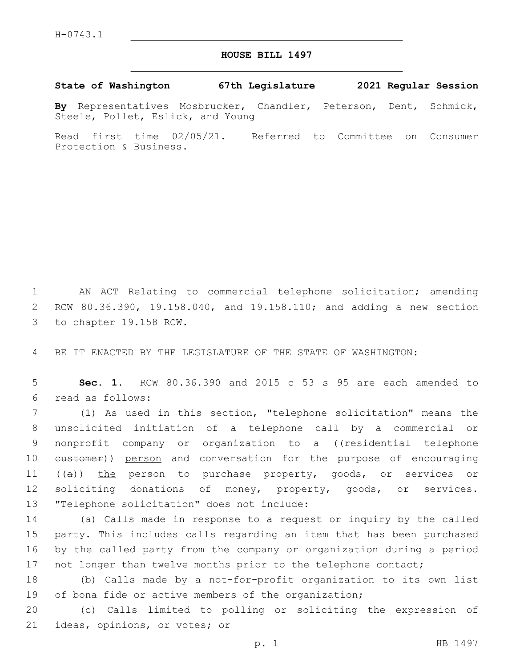## **HOUSE BILL 1497**

## **State of Washington 67th Legislature 2021 Regular Session**

**By** Representatives Mosbrucker, Chandler, Peterson, Dent, Schmick, Steele, Pollet, Eslick, and Young

Read first time 02/05/21. Referred to Committee on Consumer Protection & Business.

1 AN ACT Relating to commercial telephone solicitation; amending 2 RCW 80.36.390, 19.158.040, and 19.158.110; and adding a new section 3 to chapter 19.158 RCW.

4 BE IT ENACTED BY THE LEGISLATURE OF THE STATE OF WASHINGTON:

5 **Sec. 1.** RCW 80.36.390 and 2015 c 53 s 95 are each amended to read as follows:6

7 (1) As used in this section, "telephone solicitation" means the 8 unsolicited initiation of a telephone call by a commercial or 9 nonprofit company or organization to a ((<del>residential telephone</del> 10 eustomer)) person and conversation for the purpose of encouraging 11 ((a)) the person to purchase property, goods, or services or 12 soliciting donations of money, property, goods, or services. 13 "Telephone solicitation" does not include:

 (a) Calls made in response to a request or inquiry by the called party. This includes calls regarding an item that has been purchased by the called party from the company or organization during a period 17 not longer than twelve months prior to the telephone contact;

18 (b) Calls made by a not-for-profit organization to its own list 19 of bona fide or active members of the organization;

20 (c) Calls limited to polling or soliciting the expression of 21 ideas, opinions, or votes; or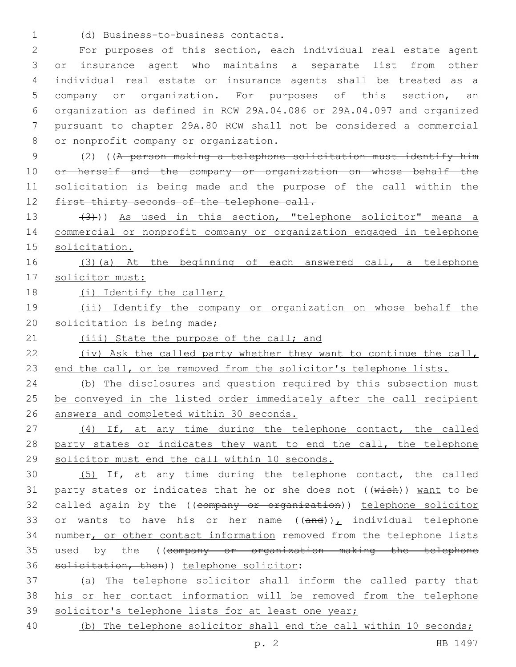(d) Business-to-business contacts.1

 For purposes of this section, each individual real estate agent or insurance agent who maintains a separate list from other individual real estate or insurance agents shall be treated as a 5 company or organization. For purposes of this section, organization as defined in RCW 29A.04.086 or 29A.04.097 and organized pursuant to chapter 29A.80 RCW shall not be considered a commercial 8 or nonprofit company or organization.

9 (2) ((A person making a telephone solicitation must identify him 10 or herself and the company or organization on whose behalf the 11 solicitation is being made and the purpose of the call within the 12 first thirty seconds of the telephone call.

13 (3))) As used in this section, "telephone solicitor" means a 14 commercial or nonprofit company or organization engaged in telephone 15 solicitation.

16 (3)(a) At the beginning of each answered call, a telephone 17 solicitor must:

18 (i) Identify the caller;

19 (ii) Identify the company or organization on whose behalf the 20 solicitation is being made;

21 (iii) State the purpose of the call; and

22 (iv) Ask the called party whether they want to continue the call, 23 end the call, or be removed from the solicitor's telephone lists.

24 (b) The disclosures and question required by this subsection must 25 be conveyed in the listed order immediately after the call recipient 26 answers and completed within 30 seconds.

27 (4) If, at any time during the telephone contact, the called 28 party states or indicates they want to end the call, the telephone 29 solicitor must end the call within 10 seconds.

30 (5) If, at any time during the telephone contact, the called 31 party states or indicates that he or she does not  $((\text{wish}))$  want to be 32 called again by the ((company or organization)) telephone solicitor 33 or wants to have his or her name  $((and))_L$  individual telephone 34 number, or other contact information removed from the telephone lists 35 used by the ((company or organization making the telephone 36 solicitation, then)) telephone solicitor:

37 (a) The telephone solicitor shall inform the called party that 38 his or her contact information will be removed from the telephone 39 solicitor's telephone lists for at least one year;

40 (b) The telephone solicitor shall end the call within 10 seconds;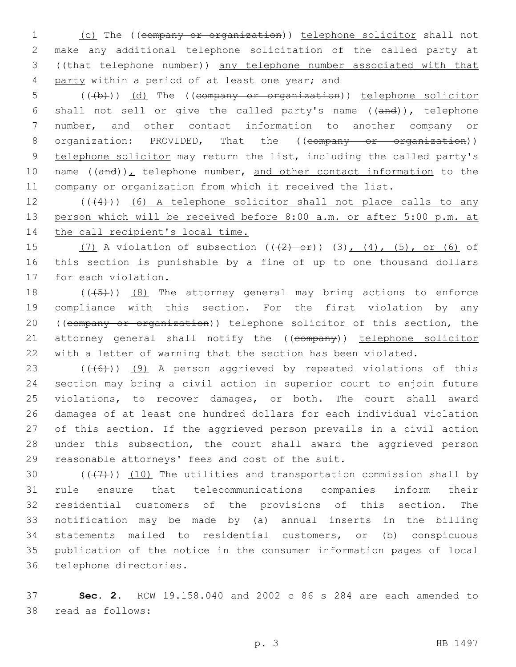(c) The ((company or organization)) telephone solicitor shall not make any additional telephone solicitation of the called party at ((that telephone number)) any telephone number associated with that 4 party within a period of at least one year; and

5 (((b)) (d) The ((company or organization)) telephone solicitor 6 shall not sell or give the called party's name  $((and))_{L}$  telephone 7 number, and other contact information to another company or 8 organization: PROVIDED, That the ((company or organization)) 9 telephone solicitor may return the list, including the called party's 10 name ((and)), telephone number, and other contact information to the 11 company or organization from which it received the list.

 $12$  (( $(4)$ )) (6) A telephone solicitor shall not place calls to any 13 person which will be received before 8:00 a.m. or after 5:00 p.m. at 14 the call recipient's local time.

15 (7) A violation of subsection  $((2) - 0r)$ )  $(3)$ ,  $(4)$ ,  $(5)$ , or  $(6)$  of 16 this section is punishable by a fine of up to one thousand dollars 17 for each violation.

 $((+5+))$   $(8)$  The attorney general may bring actions to enforce compliance with this section. For the first violation by any ((company or organization)) telephone solicitor of this section, the 21 attorney general shall notify the ((company)) telephone solicitor with a letter of warning that the section has been violated.

 $((+6+))$  (9) A person aggrieved by repeated violations of this section may bring a civil action in superior court to enjoin future violations, to recover damages, or both. The court shall award damages of at least one hundred dollars for each individual violation of this section. If the aggrieved person prevails in a civil action 28 under this subsection, the court shall award the aggrieved person 29 reasonable attorneys' fees and cost of the suit.

 $((+7+))$   $(10)$  The utilities and transportation commission shall by rule ensure that telecommunications companies inform their residential customers of the provisions of this section. The notification may be made by (a) annual inserts in the billing statements mailed to residential customers, or (b) conspicuous publication of the notice in the consumer information pages of local 36 telephone directories.

37 **Sec. 2.** RCW 19.158.040 and 2002 c 86 s 284 are each amended to 38 read as follows: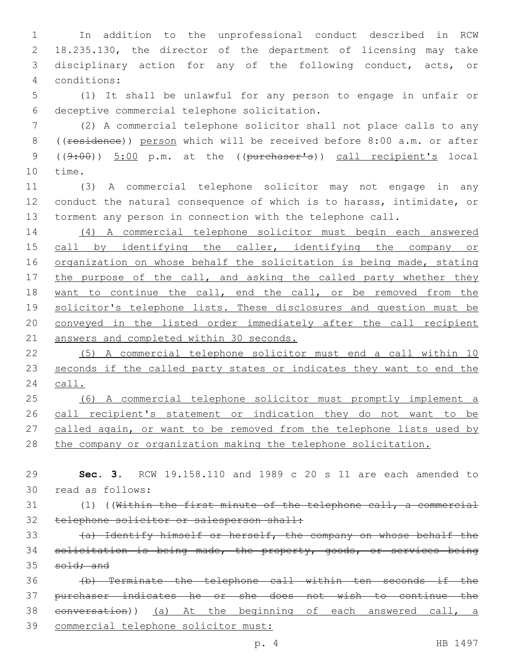In addition to the unprofessional conduct described in RCW 18.235.130, the director of the department of licensing may take disciplinary action for any of the following conduct, acts, or conditions:4

 (1) It shall be unlawful for any person to engage in unfair or deceptive commercial telephone solicitation.6

 (2) A commercial telephone solicitor shall not place calls to any 8 ((residence)) person which will be received before 8:00 a.m. or after ((9:00)) 5:00 p.m. at the ((purchaser's)) call recipient's local 10 time.

 (3) A commercial telephone solicitor may not engage in any conduct the natural consequence of which is to harass, intimidate, or torment any person in connection with the telephone call.

 (4) A commercial telephone solicitor must begin each answered 15 call by identifying the caller, identifying the company or 16 organization on whose behalf the solicitation is being made, stating 17 the purpose of the call, and asking the called party whether they want to continue the call, end the call, or be removed from the 19 solicitor's telephone lists. These disclosures and question must be conveyed in the listed order immediately after the call recipient 21 answers and completed within 30 seconds.

 (5) A commercial telephone solicitor must end a call within 10 seconds if the called party states or indicates they want to end the call.

 (6) A commercial telephone solicitor must promptly implement a call recipient's statement or indication they do not want to be 27 called again, or want to be removed from the telephone lists used by the company or organization making the telephone solicitation.

| 29 | Sec. 3. RCW 19.158.110 and 1989 c 20 s 11 are each amended to       |
|----|---------------------------------------------------------------------|
| 30 | read as follows:                                                    |
| 31 | $(1)$ ((Within the first minute of the telephone call, a commercial |
| 32 | telephone solicitor or salesperson shall:                           |
| 33 | (a) Identify himself or herself, the company on whose behalf the    |
| 34 | solicitation is being made, the property, goods, or services being  |
| 35 | $\text{solid:}$ and                                                 |
| 36 | (b) Terminate the telephone call within ten seconds if the          |
| 37 | purchaser indicates he or she does not wish to continue the         |

conversation)) (a) At the beginning of each answered call, a

commercial telephone solicitor must: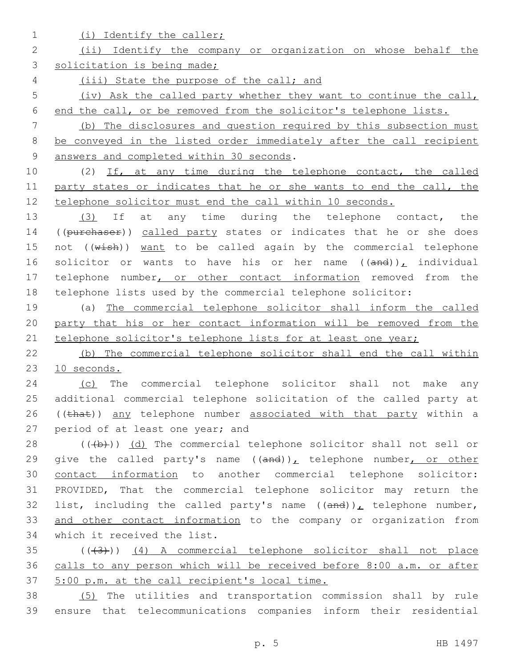1 (i) Identify the caller; 2 (ii) Identify the company or organization on whose behalf the 3 solicitation is being made; 4 (iii) State the purpose of the call; and 5 (iv) Ask the called party whether they want to continue the call, 6 end the call, or be removed from the solicitor's telephone lists. 7 (b) The disclosures and question required by this subsection must 8 be conveyed in the listed order immediately after the call recipient 9 answers and completed within 30 seconds. 10 (2) If, at any time during the telephone contact, the called 11 party states or indicates that he or she wants to end the call, the 12 telephone solicitor must end the call within 10 seconds. 13 (3) If at any time during the telephone contact, the 14 ((purchaser)) called party states or indicates that he or she does 15 not  $((\text{wish}))$  want to be called again by the commercial telephone 16 solicitor or wants to have his or her name  $((and))_L$  individual 17 telephone number, or other contact information removed from the 18 telephone lists used by the commercial telephone solicitor: 19 (a) The commercial telephone solicitor shall inform the called 20 party that his or her contact information will be removed from the 21 telephone solicitor's telephone lists for at least one year; 22 (b) The commercial telephone solicitor shall end the call within 23 10 seconds. 24 (c) The commercial telephone solicitor shall not make any 25 additional commercial telephone solicitation of the called party at 26 ((that)) any telephone number associated with that party within a 27 period of at least one year; and  $28$  ( $(\frac{1}{2})$ ) (d) The commercial telephone solicitor shall not sell or 29 give the called party's name  $((and))_L$  telephone number, or other 30 contact information to another commercial telephone solicitor: 31 PROVIDED, That the commercial telephone solicitor may return the 32 list, including the called party's name  $((and))_L$  telephone number, 33 and other contact information to the company or organization from 34 which it received the list. 35 (((43))) (4) A commercial telephone solicitor shall not place 36 calls to any person which will be received before 8:00 a.m. or after 37 5:00 p.m. at the call recipient's local time. 38 (5) The utilities and transportation commission shall by rule 39 ensure that telecommunications companies inform their residential